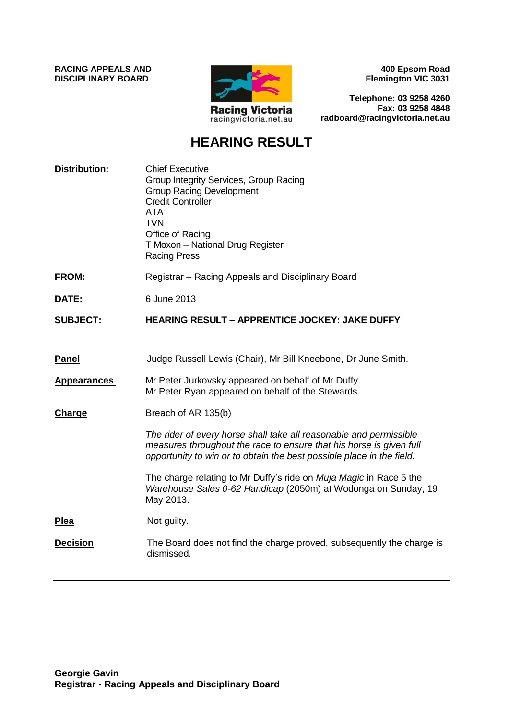**RACING APPEALS AND DISCIPLINARY BOARD**



**400 Epsom Road Flemington VIC 3031**

**Telephone: 03 9258 4260 Fax: 03 9258 4848 radboard@racingvictoria.net.au**

# **HEARING RESULT**

| <b>Distribution:</b> | <b>Chief Executive</b><br>Group Integrity Services, Group Racing<br><b>Group Racing Development</b><br><b>Credit Controller</b><br><b>ATA</b><br><b>TVN</b><br>Office of Racing<br>T Moxon - National Drug Register<br><b>Racing Press</b> |
|----------------------|--------------------------------------------------------------------------------------------------------------------------------------------------------------------------------------------------------------------------------------------|
| <b>FROM:</b>         | Registrar – Racing Appeals and Disciplinary Board                                                                                                                                                                                          |
| DATE:                | 6 June 2013                                                                                                                                                                                                                                |
| <b>SUBJECT:</b>      | <b>HEARING RESULT - APPRENTICE JOCKEY: JAKE DUFFY</b>                                                                                                                                                                                      |
| <b>Panel</b>         | Judge Russell Lewis (Chair), Mr Bill Kneebone, Dr June Smith.                                                                                                                                                                              |
| <b>Appearances</b>   | Mr Peter Jurkovsky appeared on behalf of Mr Duffy.<br>Mr Peter Ryan appeared on behalf of the Stewards.                                                                                                                                    |
| Charge               | Breach of AR 135(b)                                                                                                                                                                                                                        |
|                      | The rider of every horse shall take all reasonable and permissible<br>measures throughout the race to ensure that his horse is given full<br>opportunity to win or to obtain the best possible place in the field.                         |
|                      | The charge relating to Mr Duffy's ride on Muja Magic in Race 5 the<br>Warehouse Sales 0-62 Handicap (2050m) at Wodonga on Sunday, 19<br>May 2013.                                                                                          |
| <b>Plea</b>          | Not guilty.                                                                                                                                                                                                                                |
| <b>Decision</b>      | The Board does not find the charge proved, subsequently the charge is<br>dismissed.                                                                                                                                                        |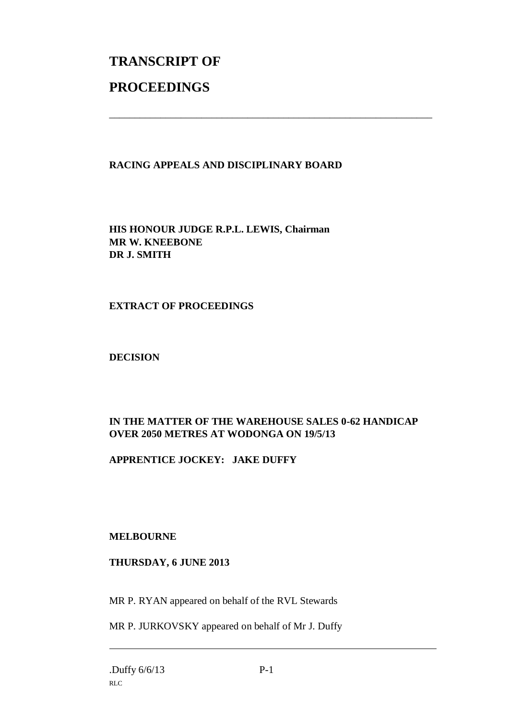# **TRANSCRIPT OF PROCEEDINGS**

### **RACING APPEALS AND DISCIPLINARY BOARD**

\_\_\_\_\_\_\_\_\_\_\_\_\_\_\_\_\_\_\_\_\_\_\_\_\_\_\_\_\_\_\_\_\_\_\_\_\_\_\_\_\_\_\_\_\_\_\_\_\_\_\_\_\_\_\_\_\_\_\_\_\_\_\_

**HIS HONOUR JUDGE R.P.L. LEWIS, Chairman MR W. KNEEBONE DR J. SMITH**

#### **EXTRACT OF PROCEEDINGS**

**DECISION**

## **IN THE MATTER OF THE WAREHOUSE SALES 0-62 HANDICAP OVER 2050 METRES AT WODONGA ON 19/5/13**

#### **APPRENTICE JOCKEY: JAKE DUFFY**

#### **MELBOURNE**

#### **THURSDAY, 6 JUNE 2013**

MR P. RYAN appeared on behalf of the RVL Stewards

MR P. JURKOVSKY appeared on behalf of Mr J. Duffy